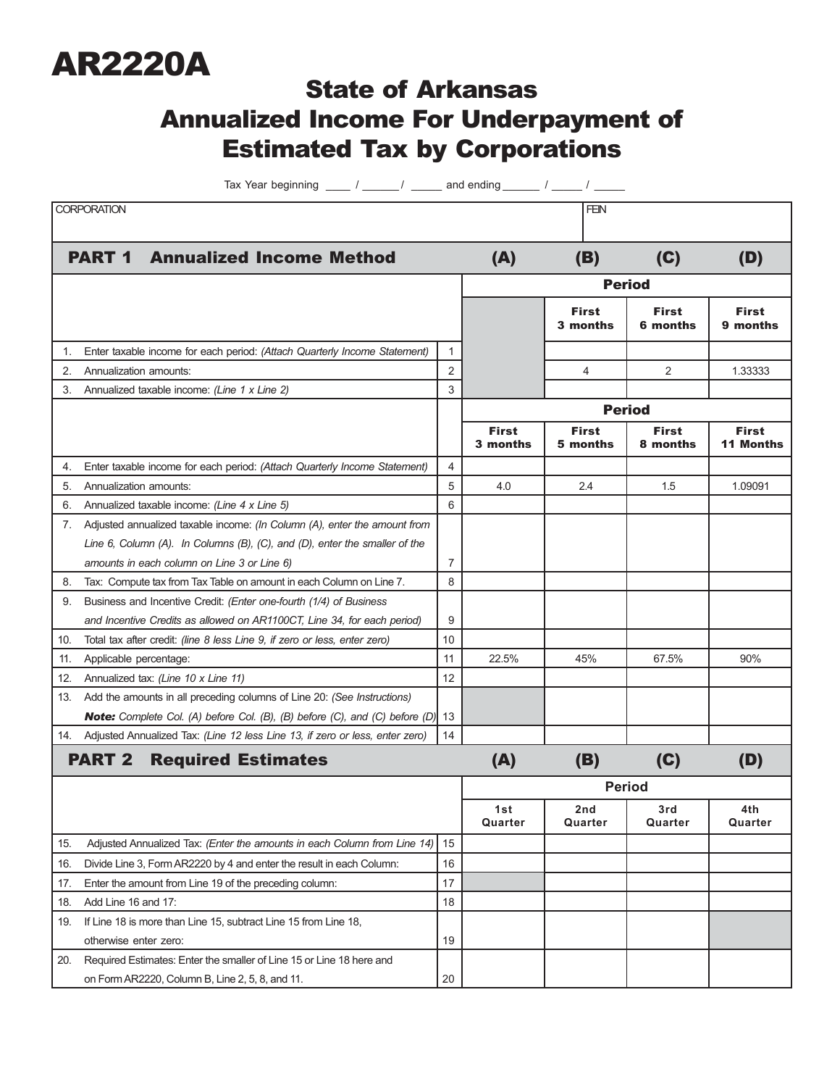

## State of Arkansas Annualized Income For Underpayment of Estimated Tax by Corporations

Tax Year beginning  $\frac{1}{\sqrt{2\pi}}$  /  $\frac{1}{\sqrt{2\pi}}$  and ending  $\frac{1}{\sqrt{2\pi}}$  /  $\frac{1}{\sqrt{2\pi}}$ 

| <b>CORPORATION</b>                         |                                                                           |  |                                                                                        |       |                          | <b>FEN</b>               |                          |                                  |
|--------------------------------------------|---------------------------------------------------------------------------|--|----------------------------------------------------------------------------------------|-------|--------------------------|--------------------------|--------------------------|----------------------------------|
|                                            |                                                                           |  |                                                                                        |       |                          |                          |                          |                                  |
|                                            | <b>PART 1</b>                                                             |  | <b>Annualized Income Method</b>                                                        |       | (A)                      | (B)                      | (C)                      | (D)                              |
|                                            |                                                                           |  |                                                                                        |       | <b>Period</b>            |                          |                          |                                  |
|                                            |                                                                           |  |                                                                                        |       |                          | <b>First</b><br>3 months | <b>First</b><br>6 months | <b>First</b><br>9 months         |
| 1.                                         | Enter taxable income for each period: (Attach Quarterly Income Statement) |  |                                                                                        |       |                          |                          |                          |                                  |
| 2.                                         | Annualization amounts:                                                    |  |                                                                                        | 2     |                          | $\overline{4}$           | 2                        | 1.33333                          |
| 3.                                         | Annualized taxable income: (Line 1 x Line 2)                              |  |                                                                                        | 3     |                          |                          |                          |                                  |
|                                            |                                                                           |  |                                                                                        |       | <b>Period</b>            |                          |                          |                                  |
|                                            |                                                                           |  |                                                                                        |       | <b>First</b><br>3 months | <b>First</b><br>5 months | <b>First</b><br>8 months | <b>First</b><br><b>11 Months</b> |
| 4.                                         | Enter taxable income for each period: (Attach Quarterly Income Statement) |  |                                                                                        | 4     |                          |                          |                          |                                  |
| 5.                                         | Annualization amounts:                                                    |  | 5                                                                                      | 4.0   | 2.4                      | 1.5                      | 1.09091                  |                                  |
| 6.                                         | Annualized taxable income: (Line 4 x Line 5)                              |  | 6                                                                                      |       |                          |                          |                          |                                  |
|                                            |                                                                           |  | 7. Adjusted annualized taxable income: (In Column (A), enter the amount from           |       |                          |                          |                          |                                  |
|                                            |                                                                           |  | Line 6, Column (A). In Columns (B), (C), and (D), enter the smaller of the             |       |                          |                          |                          |                                  |
|                                            |                                                                           |  | amounts in each column on Line 3 or Line 6)                                            | 7     |                          |                          |                          |                                  |
| 8.                                         |                                                                           |  | Tax: Compute tax from Tax Table on amount in each Column on Line 7.                    | 8     |                          |                          |                          |                                  |
| 9.                                         |                                                                           |  | Business and Incentive Credit: (Enter one-fourth (1/4) of Business                     |       |                          |                          |                          |                                  |
|                                            |                                                                           |  | and Incentive Credits as allowed on AR1100CT, Line 34, for each period)                | 9     |                          |                          |                          |                                  |
| 10.                                        |                                                                           |  | Total tax after credit: (line 8 less Line 9, if zero or less, enter zero)              | 10    |                          |                          |                          |                                  |
| 11.                                        | Applicable percentage:                                                    |  | 11                                                                                     | 22.5% | 45%                      | 67.5%                    | 90%                      |                                  |
| 12.                                        | Annualized tax: (Line 10 x Line 11)                                       |  | 12                                                                                     |       |                          |                          |                          |                                  |
| 13.                                        |                                                                           |  | Add the amounts in all preceding columns of Line 20: (See Instructions)                |       |                          |                          |                          |                                  |
|                                            |                                                                           |  | <b>Note:</b> Complete Col. (A) before Col. (B), (B) before (C), and (C) before (D), 13 |       |                          |                          |                          |                                  |
|                                            |                                                                           |  | 14. Adjusted Annualized Tax: (Line 12 less Line 13, if zero or less, enter zero)       | 14    |                          |                          |                          |                                  |
| <b>PART 2</b><br><b>Required Estimates</b> |                                                                           |  |                                                                                        |       | (A)                      | (B)                      | (C)                      | (D)                              |
|                                            |                                                                           |  |                                                                                        |       | <b>Period</b>            |                          |                          |                                  |
|                                            |                                                                           |  |                                                                                        |       | 1st<br>Quarter           | 2nd<br>Quarter           | 3rd<br>Quarter           | 4th<br>Quarter                   |
| 15.                                        |                                                                           |  | Adjusted Annualized Tax: (Enter the amounts in each Column from Line 14)               | 15    |                          |                          |                          |                                  |
| 16.                                        |                                                                           |  | Divide Line 3, Form AR2220 by 4 and enter the result in each Column:                   | 16    |                          |                          |                          |                                  |
| 17.                                        |                                                                           |  | Enter the amount from Line 19 of the preceding column:                                 | 17    |                          |                          |                          |                                  |
| 18.                                        | Add Line 16 and 17:                                                       |  |                                                                                        | 18    |                          |                          |                          |                                  |
| 19.                                        |                                                                           |  | If Line 18 is more than Line 15, subtract Line 15 from Line 18,                        |       |                          |                          |                          |                                  |
|                                            |                                                                           |  | otherwise enter zero:                                                                  | 19    |                          |                          |                          |                                  |
| 20.                                        |                                                                           |  | Required Estimates: Enter the smaller of Line 15 or Line 18 here and                   |       |                          |                          |                          |                                  |
|                                            |                                                                           |  | on Form AR2220, Column B, Line 2, 5, 8, and 11.                                        | 20    |                          |                          |                          |                                  |